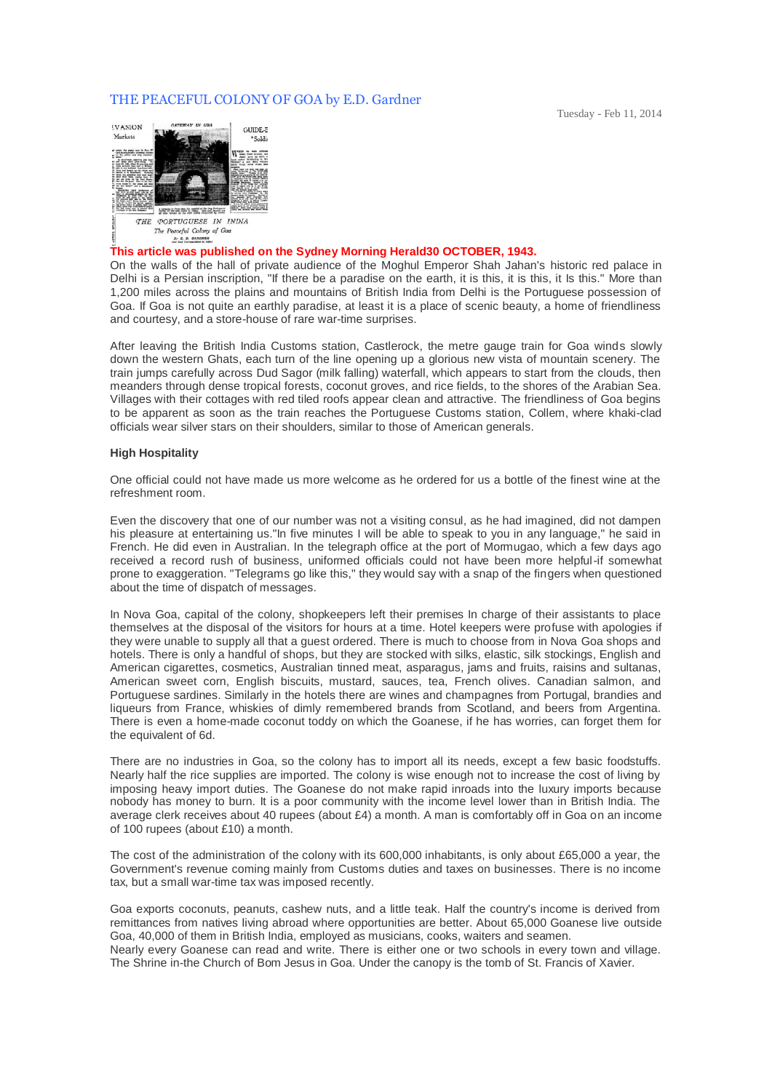## THE PEACEFUL COLONY OF GOA by E.D. Gardner



## **This article was published on the Sydney Morning Herald30 OCTOBER, 1943.**

On the walls of the hall of private audience of the Moghul Emperor Shah Jahan's historic red palace in Delhi is a Persian inscription, "If there be a paradise on the earth, it is this, it is this, it Is this." More than 1,200 miles across the plains and mountains of British India from Delhi is the Portuguese possession of Goa. If Goa is not quite an earthly paradise, at least it is a place of scenic beauty, a home of friendliness and courtesy, and a store-house of rare war-time surprises.

After leaving the British India Customs station, Castlerock, the metre gauge train for Goa winds slowly down the western Ghats, each turn of the line opening up a glorious new vista of mountain scenery. The train jumps carefully across Dud Sagor (milk falling) waterfall, which appears to start from the clouds, then meanders through dense tropical forests, coconut groves, and rice fields, to the shores of the Arabian Sea. Villages with their cottages with red tiled roofs appear clean and attractive. The friendliness of Goa begins to be apparent as soon as the train reaches the Portuguese Customs station, Collem, where khaki-clad officials wear silver stars on their shoulders, similar to those of American generals.

## **High Hospitality**

One official could not have made us more welcome as he ordered for us a bottle of the finest wine at the refreshment room.

Even the discovery that one of our number was not a visiting consul, as he had imagined, did not dampen his pleasure at entertaining us."In five minutes I will be able to speak to you in any language," he said in French. He did even in Australian. In the telegraph office at the port of Mormugao, which a few days ago received a record rush of business, uniformed officials could not have been more helpful-if somewhat prone to exaggeration. "Telegrams go like this," they would say with a snap of the fingers when questioned about the time of dispatch of messages.

In Nova Goa, capital of the colony, shopkeepers left their premises In charge of their assistants to place themselves at the disposal of the visitors for hours at a time. Hotel keepers were profuse with apologies if they were unable to supply all that a guest ordered. There is much to choose from in Nova Goa shops and hotels. There is only a handful of shops, but they are stocked with silks, elastic, silk stockings, English and American cigarettes, cosmetics, Australian tinned meat, asparagus, jams and fruits, raisins and sultanas, American sweet corn, English biscuits, mustard, sauces, tea, French olives. Canadian salmon, and Portuguese sardines. Similarly in the hotels there are wines and champagnes from Portugal, brandies and liqueurs from France, whiskies of dimly remembered brands from Scotland, and beers from Argentina. There is even a home-made coconut toddy on which the Goanese, if he has worries, can forget them for the equivalent of 6d.

There are no industries in Goa, so the colony has to import all its needs, except a few basic foodstuffs. Nearly half the rice supplies are imported. The colony is wise enough not to increase the cost of living by imposing heavy import duties. The Goanese do not make rapid inroads into the luxury imports because nobody has money to burn. It is a poor community with the income level lower than in British India. The average clerk receives about 40 rupees (about £4) a month. A man is comfortably off in Goa on an income of 100 rupees (about £10) a month.

The cost of the administration of the colony with its 600,000 inhabitants, is only about £65,000 a year, the Government's revenue coming mainly from Customs duties and taxes on businesses. There is no income tax, but a small war-time tax was imposed recently.

Goa exports coconuts, peanuts, cashew nuts, and a little teak. Half the country's income is derived from remittances from natives living abroad where opportunities are better. About 65,000 Goanese live outside Goa, 40,000 of them in British India, employed as musicians, cooks, waiters and seamen. Nearly every Goanese can read and write. There is either one or two schools in every town and village. The Shrine in-the Church of Bom Jesus in Goa. Under the canopy is the tomb of St. Francis of Xavier.